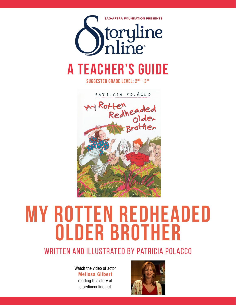

**suggested grade level: 2nd - 3rd**

PATRICIA POLACCO My Rotten Ffeneaded<br>Redheaded



# **my rotten redheaded older brother**

# WRITTEN AND ILLUSTRATED BY PATRICIA POLACCO

Watch the video of actor Melissa Gilbert reading this story at storylineonline.net

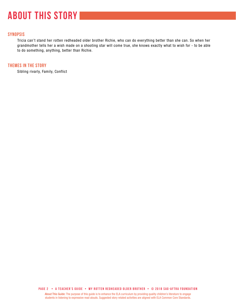# **about this story**

# **SYNOPSIS**

Tricia can't stand her rotten redheaded older brother Richie, who can do everything better than she can. So when her grandmother tells her a wish made on a shooting star will come true, she knows exactly what to wish for - to be able to do something, anything, better than Richie.

### **THEMES IN THE STORY**

Sibling rivarly, Family, Conflict

**PAGE 2 • A teacher's GUIDE • My rotten redheaded older brother • © 2018 SAG-AFTRA FOUNDATION**

About This Guide: The purpose of this guide is to enhance the ELA curriculum by providing quality children's literature to engage students in listening to expressive read alouds. Suggested story related activities are aligned with ELA Common Core Standards.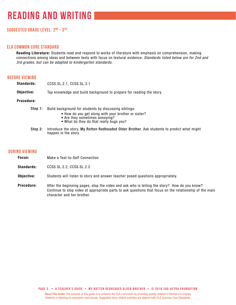# **Suggested grade level: 2nd - 3 rd**

#### **ela common core standard**

Reading Literature: Students read and respond to works of literature with emphasis on comprehension, making connections among ideas and between texts with focus on textural evidence. *Standards listed below are for 2nd and 3rd grades, but can be adapted to kindergarten standards.*

#### **before viewing**

| <b>Standards:</b> | CCSS.SL.2.1, CCSS.SL.3.1                                                                                                                                                                  |
|-------------------|-------------------------------------------------------------------------------------------------------------------------------------------------------------------------------------------|
| Objective:        | Tap knowledge and build background to prepare for reading the story.                                                                                                                      |
| Procedure:        |                                                                                                                                                                                           |
| Step 1:           | Build background for students by discussing siblings:<br>• How do you get along with your brother or sister?<br>• Are they sometimes annoying?<br>• What do they do that really bugs you? |

Step 2: Introduce the story, My Rotten Redheaded Older Brother. Ask students to predict what might happen in the story.

#### **during viewing**

| Focus: | Make a Text-to-Self Connection |
|--------|--------------------------------|
|--------|--------------------------------|

Standards: CCSS.SL.2.2, CCSS.SL.2.2

- Objective: Students will listen to story and answer teacher posed questions appropriately.
- Procedure: After the beginning pages, stop the video and ask who is telling the story? How do you know? Continue to stop video at appropriate parts to ask questions that focus on the relationship of the main character and her brother.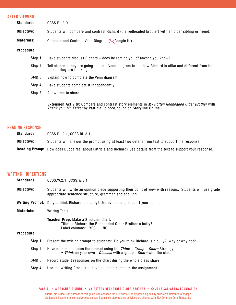#### **after viewing**

| Standards: |         | CCSS.RL.3.9                                                                                                                            |
|------------|---------|----------------------------------------------------------------------------------------------------------------------------------------|
| Objective: |         | Students will compare and contrast Richard (the redheaded brother) with an older sibling or friend.                                    |
| Materials: |         | Compare and Contrast Venn Diagram ( $\mathbb Q$ Google It!)                                                                            |
| Procedure: |         |                                                                                                                                        |
|            | Step 1: | Have students discuss Richard – does he remind you of anyone you know?                                                                 |
|            | Step 2: | Tell students they are going to use a Venn diagram to tell how Richard is alike and different from the<br>person they are thinking of. |
|            | Step 3: | Explain how to complete the Venn diagram.                                                                                              |
|            | Step 4: | Have students complete it independently.                                                                                               |
|            | Step 5: | Allow time to share.                                                                                                                   |
|            |         |                                                                                                                                        |

Extension Activity: Compare and contrast story elements in *My Rotten Redheaded Older Brother* with *Thank you, Mr. Falker* by Patricia Polacco, found on Storyline Online.

### **reading response**

Standards: CCSS.RL.2.1, CCSS.RL.3.1

Objective: Students will answer the prompt using at least two details from text to support the response.

Reading Prompt: How does Bubba feel about Patricia and Richard? Use details from the text to support your response.

# **writing - directions**

| <b>Standards:</b> | CCSS.W.2.1, CCSS.W.3.1                                                                                                                                              |
|-------------------|---------------------------------------------------------------------------------------------------------------------------------------------------------------------|
| Objective:        | Students will write an opinion piece supporting their point of view with reasons. Students will use grade<br>appropriate sentence structure, grammar, and spelling. |
|                   | <b>Writing Prompt:</b> Do you think Richard is a bully? Use evidence to support your opinion.                                                                       |
| <b>Materials:</b> | <b>Writing Tools</b>                                                                                                                                                |
| Procedure:        | Teacher Prep: Make a 2 column chart:<br>Title: Is Richard the Redheaded Older Brother a bully?<br>Label columns: YES<br>NO.                                         |
|                   | Step 1: Present the writing prompt to students: Do you think Richard is a bully? Why or why not?                                                                    |
| Step 2:           | Have students discuss the prompt using the Think $-$ Group $-$ Share Strategy:<br>• Think on your own - Discuss with a group - Share with the class.                |
| Step 3:           | Record student responses on the chart during the whole class share.                                                                                                 |
|                   |                                                                                                                                                                     |

Step 4: Use the Writing Process to have students complete the assignment.

About This Guide: The purpose of this guide is to enhance the ELA curriculum by providing quality children's literature to engage students in listening to expressive read alouds. Suggested story related activities are aligned with ELA Common Core Standards. **PAGE 4 • A teacher's GUIDE • My rotten redheaded older brother • © 2018 SAG-AFTRA FOUNDATION**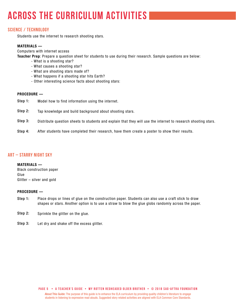# **across the curriculum activities**

# **Science / technology**

Students use the internet to research shooting stars.

#### MATERIALS —

Computers with internet access

Teacher Prep: Prepare a question sheet for students to use during their research. Sample questions are below:

- What is a shooting star?
- What causes a shooting star?
- What are shooting stars made of?
- What happens if a shooting star hits Earth?
- Other interesting science facts about shooting stars:

#### PROCEDURE —

- Model how to find information using the internet. Step 1:
- Tap knowledge and build background about shooting stars. Step 2:
- Distribute question sheets to students and explain that they will use the internet to research shooting stars. Step 3:
- After students have completed their research, have them create a poster to show their results. Step 4:

# **ART – Starry Night Sky**

#### MATERIALS —

Black construction paper Glue Glitter – silver and gold

#### PROCEDURE —

- Place drops or lines of glue on the construction paper. Students can also use a craft stick to draw shapes or stars. Another option is to use a straw to blow the glue globs randomly across the paper. Step 1:
- Sprinkle the glitter on the glue. Step 2:
- Let dry and shake off the excess glitter. Step 3: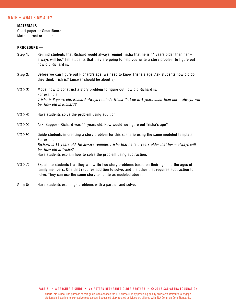#### **MATH – What's My Age?**

#### MATERIALS —

Chart paper or SmartBoard Math journal or paper

#### PROCEDURE —

- Remind students that Richard would always remind Trisha that he is "4 years older than her always will be." Tell students that they are going to help you write a story problem to figure out how old Richard is. Step 1:
- Before we can figure out Richard's age, we need to know Trisha's age. Ask students how old do they think Trish is? (answer should be about 8) Step 2:
- Model how to construct a story problem to figure out how old Richard is. For example: *Trisha is 8 years old. Richard always reminds Trisha that he is 4 years older than her – always will be. How old is Richard?* Step 3:
- Have students solve the problem using addition. Step 4:
- Ask: Suppose Richard was 11 years old. How would we figure out Trisha's age? Step 5:
- Guide students in creating a story problem for this scenario using the same modeled template. For example: *Richard is 11 years old. He always reminds Trisha that he is 4 years older that her – always will be. How old is Trisha?* Have students explain how to solve the problem using subtraction. Step 6:
- Explain to students that they will write two story problems based on their age and the ages of family members: One that requires addition to solve; and the other that requires subtraction to solve. They can use the same story template as modeled above. Step 7:
- Have students exchange problems with a partner and solve. Step 8: